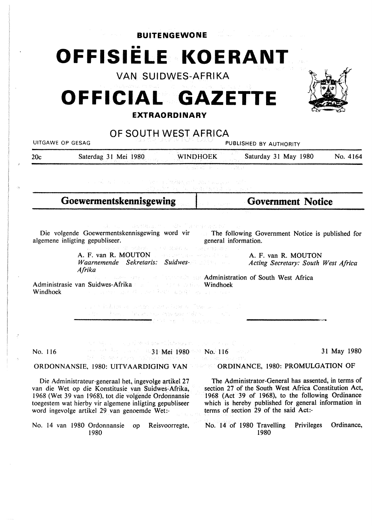**BUITENGEWONE**  •• **OFFISIELE KOERANT VAN SUIDWES-AFRIKA** 

# **OFFICIAL GAZETTE EXTRAORDINARY**



# **OF SOUTH WEST AFRICA**

|          | UITGAWE OP GESAG                                                                                                                                                                                                                                                                                                                                                                                                                                                                                                       | . <u>. .</u>                                                                                                                       | PUBLISHED BY AUTHORITY                                                                                                                                                                                                                                                                                                |             |
|----------|------------------------------------------------------------------------------------------------------------------------------------------------------------------------------------------------------------------------------------------------------------------------------------------------------------------------------------------------------------------------------------------------------------------------------------------------------------------------------------------------------------------------|------------------------------------------------------------------------------------------------------------------------------------|-----------------------------------------------------------------------------------------------------------------------------------------------------------------------------------------------------------------------------------------------------------------------------------------------------------------------|-------------|
| 20c      | Saterdag 31 Mei 1980                                                                                                                                                                                                                                                                                                                                                                                                                                                                                                   | <b>WINDHOEK</b>                                                                                                                    | Saturday 31 May 1980                                                                                                                                                                                                                                                                                                  | No. 4164    |
|          | ストル ちゅうねん しゅうしょう こうせいしょう はななあたません Destart あしょうとうしんがく                                                                                                                                                                                                                                                                                                                                                                                                                                                                   | fred and the community.                                                                                                            |                                                                                                                                                                                                                                                                                                                       |             |
|          | Goewermentskennisgewing                                                                                                                                                                                                                                                                                                                                                                                                                                                                                                |                                                                                                                                    | <b>Government Notice</b>                                                                                                                                                                                                                                                                                              |             |
| Windhoek | Die volgende Goewermentskennisgewing word vir and The following Government Notice is published for<br>algemene inligting gepubliseer.<br>A. F. van R. MOUTON all een der gewone de steel<br>Waarnemende Sekretaris: Suidwes- Waarnemende Sekretaris: Suidwes-<br>Afrika<br>Administrasie van Suidwes-Afrika and Suidwes-Afrika and Suidwes-Afrika<br>医自由性细胞结核的 网络希腊加勒尔维尔地名美国加拿大<br>on and industry as a strong and a strong and a strong and a strong<br>The Research of the Control of the Gear of Hanson and Section | RESERVE SECTIONS OF THE CHANNEL ST<br>general information.<br>The FRIDE BOLEVAL REPORTED THE PERIDENT<br>せいやく Marc ディーロム Alstridge | A. F. van R. MOUTON<br>Acting Secretary: South West Africa<br>and a material state of the state of an Administration of South West Africa                                                                                                                                                                             |             |
| No. 116  | A CASTILLE CONTRACTOR OF MARKETING AND A CONTRACTOR<br><b>Reserve the control of 31 Mei 1980</b> was No. 116 Franch<br>trés de margaren politiques de l'altres communes par mo-                                                                                                                                                                                                                                                                                                                                        |                                                                                                                                    |                                                                                                                                                                                                                                                                                                                       | 31 May 1980 |
|          | ORDONNANSIE, 1980: UITVAARDIGING VAN CORDINANCE, 1980: PROMULGATION OF                                                                                                                                                                                                                                                                                                                                                                                                                                                 |                                                                                                                                    |                                                                                                                                                                                                                                                                                                                       |             |
|          | Die Administrateur-generaal het, ingevolge artikel 27<br>van die Wet op die Konstitusie van Suidwes-Afrika,<br>1968 (Wet 39 van 1968), tot die volgende Ordonnansie<br>toegestem wat hierby vir algemene inligting gepubliseer<br>word ingevolge artikel 29 van genoemde Wet:-<br>No. 14 van 1980 Ordonnansie op<br>1980                                                                                                                                                                                               | Reisvoorregte,                                                                                                                     | The Administrator-General has assented, in terms of<br>section 27 of the South West Africa Constitution Act,<br>1968 (Act 39 of 1968), to the following Ordinance<br>which is hereby published for general information in<br>terms of section 29 of the said Act:-<br>No. 14 of 1980 Travelling<br>Privileges<br>1980 | Ordinance,  |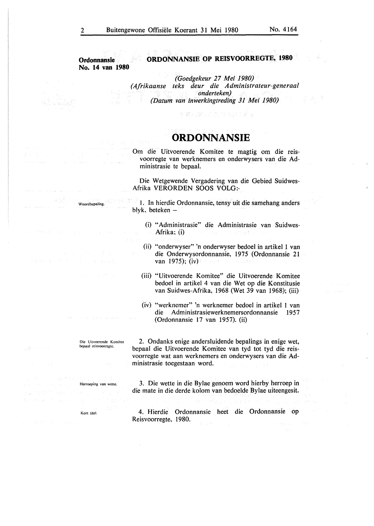**Ordonnansie No. 14 van 1980** 

# **ORDONNANSIE OP REISVOORREGTE, 1980**

*(Goedgekeur 27 Mei 1980) (Afrikaanse teks deur die Administrateur-generaal onderteken) (Datum van inwerkingtreding 31 Mei 1980)* 

器:以转让后向的汽车(),

# **ORDONNANSIE**

Om die Uitvoerende Komitee te magtig om die reisvoorregte van werknemers en onderwysers van die Admin istrasie te bepaal.

Die Wetgewende Vergadering van die Gebied Suidwes-Afrika VERORDEN SOOS VOLG:-

Woordbcpaling. I. In hierdie Ordonnansie, tensy uit die samehang anders blyk. beteken -

- (i) "Administrasie" die Administrasie van Suidwes-Afrika; (i) Providence and
- (ii) "onderwyser" 'n onderwyser bedoel in artikel 1 van die Onderwysordonnansie, 1975 (Ordonnansie 21 van 1975); (iv)
- (iii) "Uitvoerende Komitee" die Uitvoerende Komitee bedoel in artikel 4 van die Wet op die Konstitusie van Suidwes-Afrika, 1968 (Wet 39 van 1968); (iii)
- (iv) "werknemer" 'n werknemer bedoel in artikel I van Administrasiewerknemersordonnansie 1957 (Ordonnansie 17 van 1957). (ii)

2. Ondanks enige andersluidende bepalings in enige wet, bepaal die Uitvoerende Komitee van tyd tot tyd die reisvoorregte wat aan werknemers en onderwysers van die Administrasie toegestaan word.

3. Die wette in die Bylae genoem word hierby herroep in die mate in die derde kolom van bedoelde Bylae uiteengesit.

4. Hierdie Ordonnansie beet die Ordonnansie op Reisvoorregte, 1980.

**Die Uitvoerende Komitec bcpaal reisvoorregtc.**  Herroeping van wette. Kort titcl.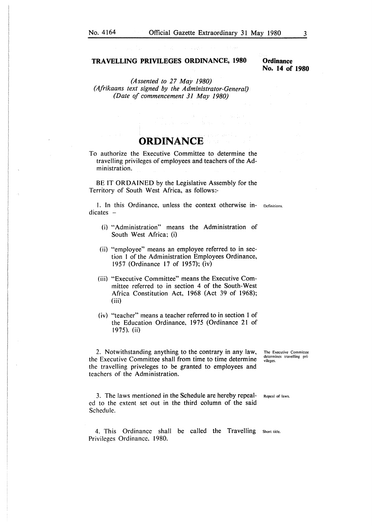#### **TRAVELLING PRIVILEGES ORDINANCE, 1980**

#### **Ordinance No. 14 of 1980**

*(Assented to 27 May 1980) (Afrikaans text signed by the Administrator-General) (Date of commencement 31 May 1980)* 

## **ORDINANCE**

To authorize the Executive Committee to determine the travelling privileges of employees and teachers of the Administration.

BE IT ORDAINED by the Legislative Assembly for the Territory of South West Africa, as follows:-

!. In this Ordinance. unless the context otherwise in- Definitions.  $dicates -$ 

- (i) "Administration" means the Administration of South West Africa; (i)
- (ii) "employee" means an employee referred to in section I of the Administration Employees Ordinance, 1957 (Ordinance 17 of 1957); (iv)
- (iii) "Executive Committee" means the Executive Committee referred to in section 4 of the South-West Africa Constitution Act, 1968 (Act 39 of 1968); (iii)
- (iv) "teacher" means a teacher referred to in section 1 of the Education Ordinance, 1975 (Ordinance 21 of 1975). (ii)

2. Notwithstanding anything to the contrary in any law, the Executive Committee shall from time to time determine the travelling priveleges to be granted to employees and teachers of the Administration.

**The Executive Committee determines travelling pri• vilcges.** 

3. The laws mentioned in the Schedule are hereby repealed to the extent set out in the third column of the said Schedule. Repeal of laws.

4. This Ordinance shall be called the Travelling Short title. Privileges Ordinance. 1980.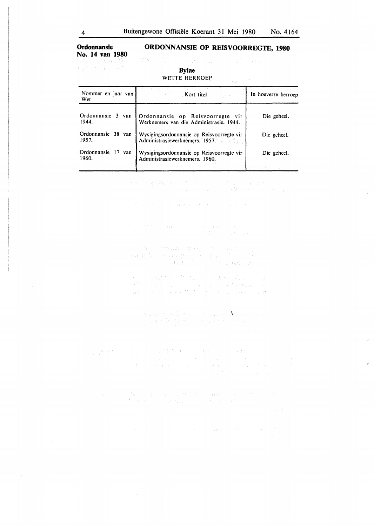### **Ordonnansie ORDONNANSIE OP REISVOORREGTE, 1980 No. 14 van 1980**

217. Sept **新闻部门的一部门一段** 

#### **Bylae**  WETTE HERROEP

Nommer en jaar van **I Kort titel In hoeverre herroep** Wet Ordonnansie 3 van Ordonnansie op Reisvoorregte vir Die geheel.<br>1944. – Werknemers van die Administrasie 1944 Werknemers van die Administrasie, 1944. Ordonnansie 38 van Wysigingsordonnansie op Reisvoorregte vir Die geheel.<br>1957. Die geheel. Administrasiewerknemers. 1957. Administrasiewerknemers, 1957. Ordonnansie 17 van Wysigingsordonnansie op Reisvoorregte vir Die geheel.<br>1960. Administrasiewerknemers. 1960. Administrasiewerknemers, 1960.

 $\label{eq:2.1} \begin{split} \mathcal{L}^{\alpha}(x) &= \mathbb{E}\left\{ \mathcal{L}^{\alpha}_{\alpha} \mathcal{L}^{\alpha}_{\alpha} \mathcal{L}^{\alpha}_{\alpha} \mathcal{L}^{\alpha}_{\alpha} \mathcal{L}^{\alpha}_{\alpha} \mathcal{L}^{\alpha}_{\alpha} \mathcal{L}^{\alpha}_{\alpha} \mathcal{L}^{\alpha}_{\alpha} \mathcal{L}^{\alpha}_{\alpha} \mathcal{L}^{\alpha}_{\alpha} \mathcal{L}^{\alpha}_{\alpha} \mathcal{L}^{\alpha}_{\alpha} \mathcal{L}^{\alpha}_{\alpha} \mathcal{L}^{\alpha}_{\alpha} \math$ 

The face of a the Robert and Technology professional

**Christian Committee** 

ina – Indian Berling, 1982<br>1949 – André De Branch, francaski politik († 1913)<br>1942 – Theodor Book, politik († 1920)

where we have a setting sendom as  $\alpha$  .

 $\begin{split} \mathcal{D}^{\alpha}_{\alpha\beta\gamma\delta} &\approx 0.05\, \left(\frac{1}{4}\, \frac{M_{\alpha}^{\alpha}\Omega_{\alpha}^{\alpha}}{M_{\alpha}^{\alpha}\Omega_{\alpha}^{\alpha}}\right) \, \mathcal{N}^{\alpha}_{\alpha\delta} \left(\frac{1}{4}\, \frac{1}{4}\, \frac{1}{2}\, \frac{1}{2}\, \frac{1}{2}\, \frac{1}{2}\, \frac{1}{2}\, \frac{1}{2}\, \frac{1}{2}\, \frac{1}{2}\, \frac{1}{2}\, \frac{1}{2}\, \frac{1}{2}\, \frac{1}{2}\, \frac$ 

da ng ang baban sa pagbang sa aggrip sa paging sa<br>Sabang sa bayang pagpagang na pag-agang sa pag-agan

and the community of the second states of the community of the

 $\bar{\Lambda}$ 

 $\mathcal{A}$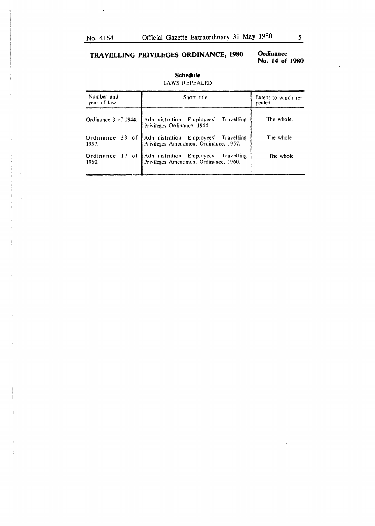$\hat{\mathbf{v}}$ 

## **TRAVELLING PRIVILEGES ORDINANCE, 1980**

### **Ordinance No. 14 of 1980**

| Number and<br>year of law   | Short title                                                                                         | Extent to which re-<br>pealed |  |
|-----------------------------|-----------------------------------------------------------------------------------------------------|-------------------------------|--|
|                             | Ordinance 3 of 1944. Administration Employees' Travelling<br>Privileges Ordinance, 1944.            | The whole.                    |  |
|                             | Ordinance 38 of Administration Employees' Travelling<br>1957. Privileges Amendment Ordinance, 1957. | The whole.                    |  |
| of<br>Ordinance 17<br>1960. | Administration Employees' Travelling<br>Privileges Amendment Ordinance, 1960.                       | The whole.                    |  |

#### **Schedule**  LAWS REPEALED